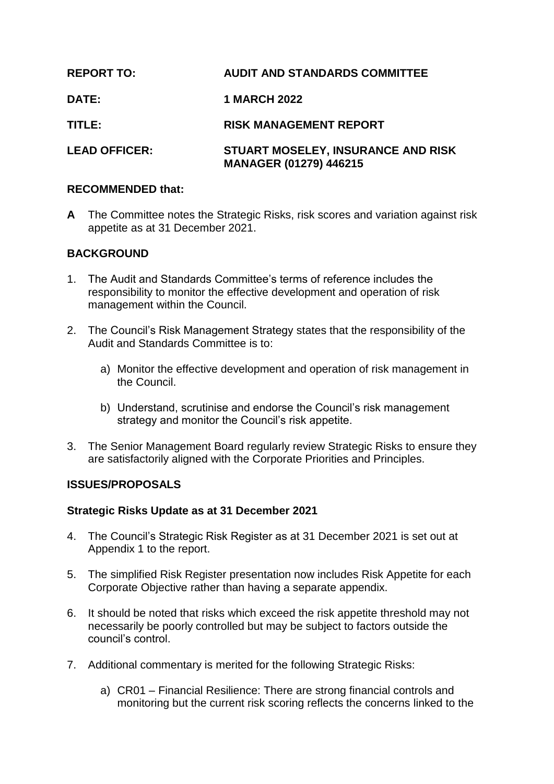| <b>REPORT TO:</b>    | <b>AUDIT AND STANDARDS COMMITTEE</b>                                |
|----------------------|---------------------------------------------------------------------|
| DATE:                | <b>1 MARCH 2022</b>                                                 |
| TITLE:               | <b>RISK MANAGEMENT REPORT</b>                                       |
| <b>LEAD OFFICER:</b> | STUART MOSELEY, INSURANCE AND RISK<br><b>MANAGER (01279) 446215</b> |

## **RECOMMENDED that:**

**A** The Committee notes the Strategic Risks, risk scores and variation against risk appetite as at 31 December 2021.

# **BACKGROUND**

- 1. The Audit and Standards Committee's terms of reference includes the responsibility to monitor the effective development and operation of risk management within the Council.
- 2. The Council's Risk Management Strategy states that the responsibility of the Audit and Standards Committee is to:
	- a) Monitor the effective development and operation of risk management in the Council.
	- b) Understand, scrutinise and endorse the Council's risk management strategy and monitor the Council's risk appetite.
- 3. The Senior Management Board regularly review Strategic Risks to ensure they are satisfactorily aligned with the Corporate Priorities and Principles.

### **ISSUES/PROPOSALS**

### **Strategic Risks Update as at 31 December 2021**

- 4. The Council's Strategic Risk Register as at 31 December 2021 is set out at Appendix 1 to the report.
- 5. The simplified Risk Register presentation now includes Risk Appetite for each Corporate Objective rather than having a separate appendix.
- 6. It should be noted that risks which exceed the risk appetite threshold may not necessarily be poorly controlled but may be subject to factors outside the council's control.
- 7. Additional commentary is merited for the following Strategic Risks:
	- a) CR01 Financial Resilience: There are strong financial controls and monitoring but the current risk scoring reflects the concerns linked to the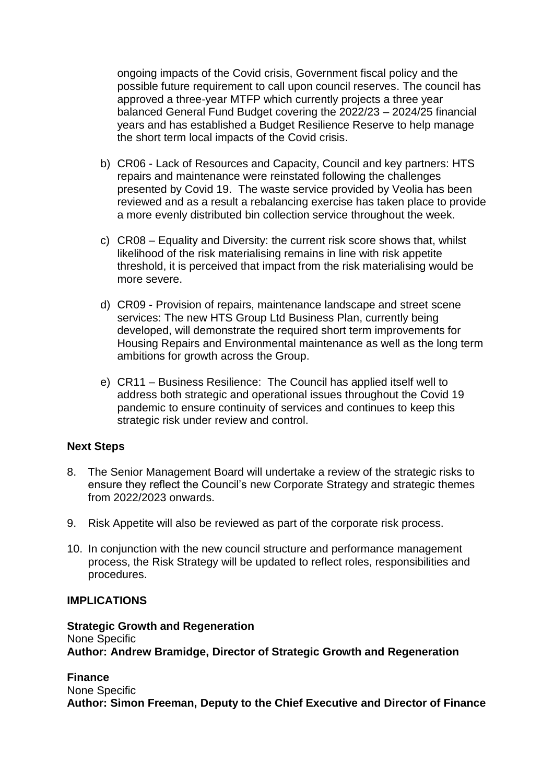ongoing impacts of the Covid crisis, Government fiscal policy and the possible future requirement to call upon council reserves. The council has approved a three-year MTFP which currently projects a three year balanced General Fund Budget covering the 2022/23 – 2024/25 financial years and has established a Budget Resilience Reserve to help manage the short term local impacts of the Covid crisis.

- b) CR06 Lack of Resources and Capacity, Council and key partners: HTS repairs and maintenance were reinstated following the challenges presented by Covid 19. The waste service provided by Veolia has been reviewed and as a result a rebalancing exercise has taken place to provide a more evenly distributed bin collection service throughout the week.
- c) CR08 Equality and Diversity: the current risk score shows that, whilst likelihood of the risk materialising remains in line with risk appetite threshold, it is perceived that impact from the risk materialising would be more severe.
- d) CR09 Provision of repairs, maintenance landscape and street scene services: The new HTS Group Ltd Business Plan, currently being developed, will demonstrate the required short term improvements for Housing Repairs and Environmental maintenance as well as the long term ambitions for growth across the Group.
- e) CR11 Business Resilience: The Council has applied itself well to address both strategic and operational issues throughout the Covid 19 pandemic to ensure continuity of services and continues to keep this strategic risk under review and control.

### **Next Steps**

- 8. The Senior Management Board will undertake a review of the strategic risks to ensure they reflect the Council's new Corporate Strategy and strategic themes from 2022/2023 onwards.
- 9. Risk Appetite will also be reviewed as part of the corporate risk process.
- 10. In conjunction with the new council structure and performance management process, the Risk Strategy will be updated to reflect roles, responsibilities and procedures.

#### **IMPLICATIONS**

**Strategic Growth and Regeneration** None Specific **Author: Andrew Bramidge, Director of Strategic Growth and Regeneration**

**Finance**  None Specific

**Author: Simon Freeman, Deputy to the Chief Executive and Director of Finance**